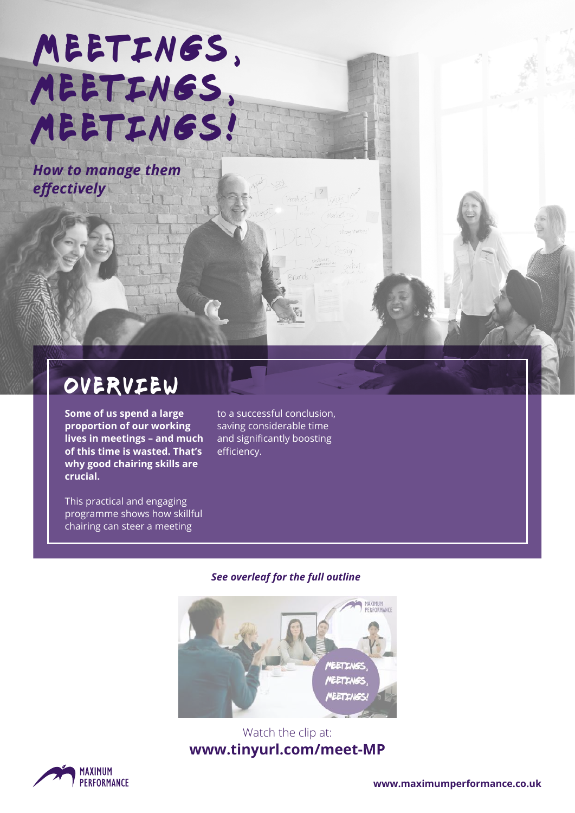# MEETINGS, MEETINGS, meetings!

*How to manage them effectively*

### overview

**Some of us spend a large proportion of our working lives in meetings – and much of this time is wasted. That's why good chairing skills are crucial.** 

This practical and engaging programme shows how skillful chairing can steer a meeting

to a successful conclusion, saving considerable time and significantly boosting efficiency.

#### *See overleaf for the full outline*



#### Watch the clip at: **www.tinyurl.com/meet-MP**